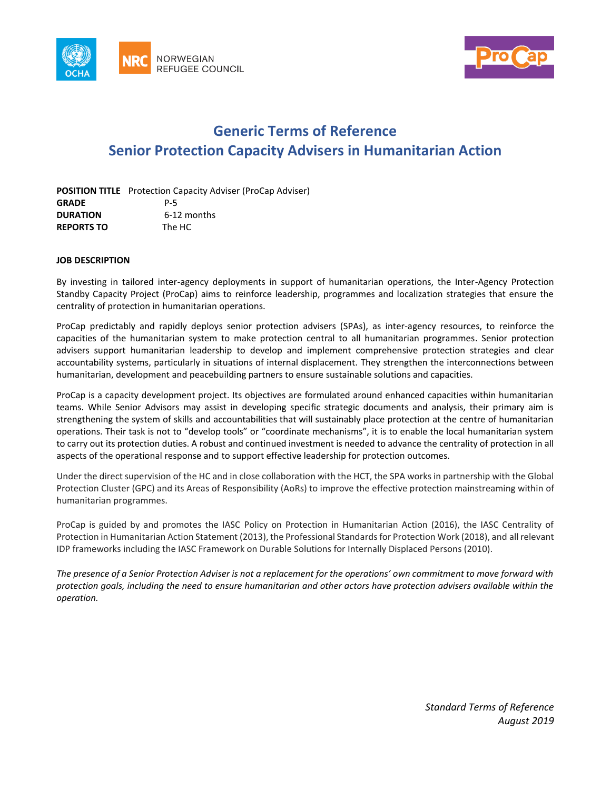



# **Generic Terms of Reference Senior Protection Capacity Advisers in Humanitarian Action**

|                   | <b>POSITION TITLE</b> Protection Capacity Adviser (ProCap Adviser) |
|-------------------|--------------------------------------------------------------------|
| <b>GRADE</b>      | P-5                                                                |
| <b>DURATION</b>   | 6-12 months                                                        |
| <b>REPORTS TO</b> | The HC                                                             |

## **JOB DESCRIPTION**

By investing in tailored inter-agency deployments in support of humanitarian operations, the Inter-Agency Protection Standby Capacity Project (ProCap) aims to reinforce leadership, programmes and localization strategies that ensure the centrality of protection in humanitarian operations.

ProCap predictably and rapidly deploys senior protection advisers (SPAs), as inter-agency resources, to reinforce the capacities of the humanitarian system to make protection central to all humanitarian programmes. Senior protection advisers support humanitarian leadership to develop and implement comprehensive protection strategies and clear accountability systems, particularly in situations of internal displacement. They strengthen the interconnections between humanitarian, development and peacebuilding partners to ensure sustainable solutions and capacities.

ProCap is a capacity development project. Its objectives are formulated around enhanced capacities within humanitarian teams. While Senior Advisors may assist in developing specific strategic documents and analysis, their primary aim is strengthening the system of skills and accountabilities that will sustainably place protection at the centre of humanitarian operations. Their task is not to "develop tools" or "coordinate mechanisms", it is to enable the local humanitarian system to carry out its protection duties. A robust and continued investment is needed to advance the centrality of protection in all aspects of the operational response and to support effective leadership for protection outcomes.

Under the direct supervision of the HC and in close collaboration with the HCT, the SPA works in partnership with the Global Protection Cluster (GPC) and its Areas of Responsibility (AoRs) to improve the effective protection mainstreaming within of humanitarian programmes.

ProCap is guided by and promotes the IASC Policy on Protection in Humanitarian Action (2016), the IASC Centrality of Protection in Humanitarian Action Statement (2013), the Professional Standards for Protection Work (2018), and all relevant IDP frameworks including the IASC Framework on Durable Solutions for Internally Displaced Persons (2010).

*The presence of a Senior Protection Adviser is not a replacement for the operations' own commitment to move forward with protection goals, including the need to ensure humanitarian and other actors have protection advisers available within the operation.* 

> *Standard Terms of Reference August 2019*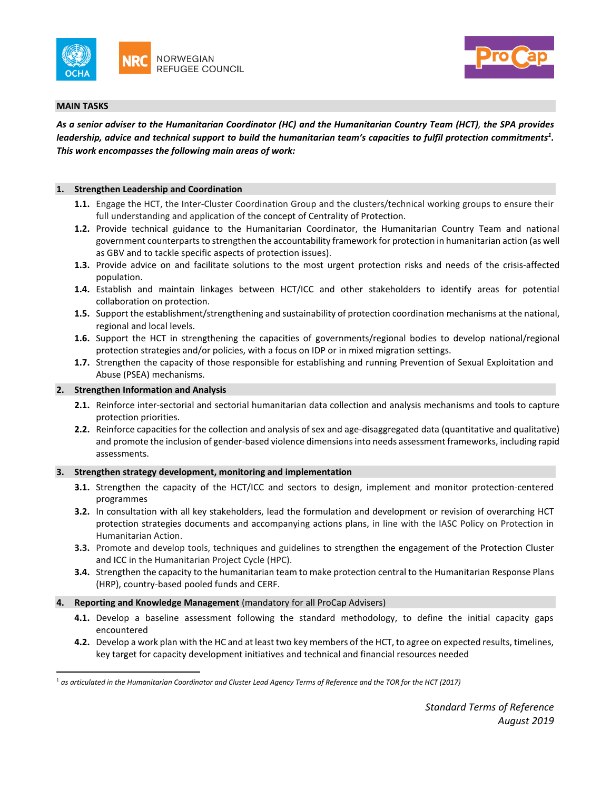



## **MAIN TASKS**

 $\overline{a}$ 

*As a senior adviser to the Humanitarian Coordinator (HC) and the Humanitarian Country Team (HCT), the SPA provides leadership, advice and technical support to build the humanitarian team's capacities to fulfil protection commitments<sup>1</sup> . This work encompasses the following main areas of work:* 

#### **1. Strengthen Leadership and Coordination**

- **1.1.** Engage the HCT, the Inter-Cluster Coordination Group and the clusters/technical working groups to ensure their full understanding and application of the concept of Centrality of Protection.
- **1.2.** Provide technical guidance to the Humanitarian Coordinator, the Humanitarian Country Team and national government counterparts to strengthen the accountability framework for protection in humanitarian action (as well as GBV and to tackle specific aspects of protection issues).
- **1.3.** Provide advice on and facilitate solutions to the most urgent protection risks and needs of the crisis-affected population.
- **1.4.** Establish and maintain linkages between HCT/ICC and other stakeholders to identify areas for potential collaboration on protection.
- **1.5.** Support the establishment/strengthening and sustainability of protection coordination mechanisms at the national, regional and local levels.
- **1.6.** Support the HCT in strengthening the capacities of governments/regional bodies to develop national/regional protection strategies and/or policies, with a focus on IDP or in mixed migration settings.
- **1.7.** Strengthen the capacity of those responsible for establishing and running Prevention of Sexual Exploitation and Abuse (PSEA) mechanisms.

### **2. Strengthen Information and Analysis**

- **2.1.** Reinforce inter-sectorial and sectorial humanitarian data collection and analysis mechanisms and tools to capture protection priorities.
- **2.2.** Reinforce capacities for the collection and analysis of sex and age-disaggregated data (quantitative and qualitative) and promote the inclusion of gender-based violence dimensions into needs assessment frameworks, including rapid assessments.

## **3. Strengthen strategy development, monitoring and implementation**

- **3.1.** Strengthen the capacity of the HCT/ICC and sectors to design, implement and monitor protection-centered programmes
- **3.2.** In consultation with all key stakeholders, lead the formulation and development or revision of overarching HCT protection strategies documents and accompanying actions plans, in line with the IASC Policy on Protection in Humanitarian Action.
- **3.3.** Promote and develop tools, techniques and guidelines to strengthen the engagement of the Protection Cluster and ICC in the Humanitarian Project Cycle (HPC).
- **3.4.** Strengthen the capacity to the humanitarian team to make protection central to the Humanitarian Response Plans (HRP), country-based pooled funds and CERF.
- **4. Reporting and Knowledge Management** (mandatory for all ProCap Advisers)
	- **4.1.** Develop a baseline assessment following the standard methodology, to define the initial capacity gaps encountered
	- **4.2.** Develop a work plan with the HC and at least two key members of the HCT, to agree on expected results, timelines, key target for capacity development initiatives and technical and financial resources needed

 $^1$  as articulated in the Humanitarian Coordinator and Cluster Lead Agency Terms of Reference and the TOR for the HCT (2017)